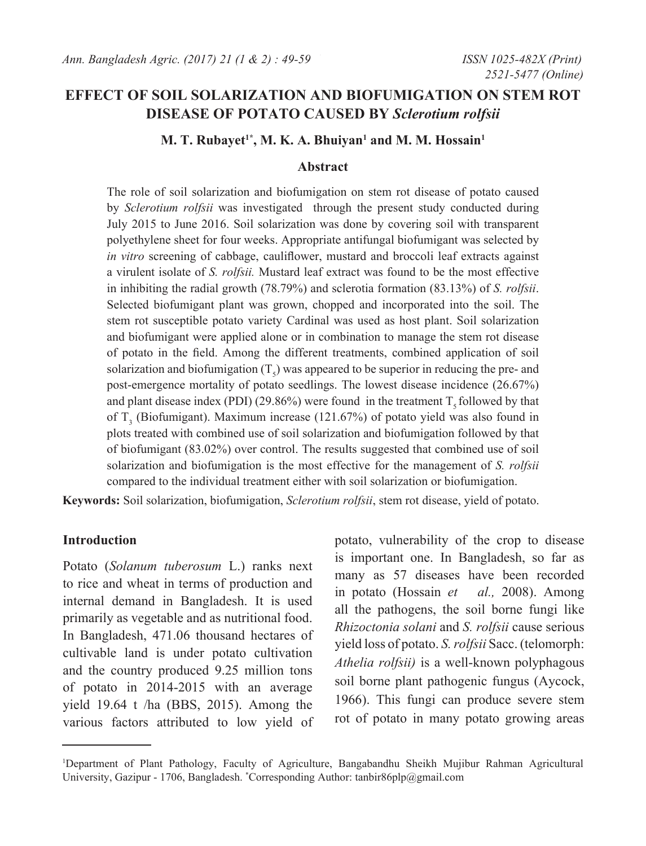# **EFFECT OF SOIL SOLARIZATION AND BIOFUMIGATION ON STEM ROT DISEASE OF POTATO CAUSED BY** *Sclerotium rolfsii*

## **M. T. Rubayet<sup>1\*</sup>, M. K. A. Bhuiyan<sup>1</sup> and M. M. Hossain<sup>1</sup>**

#### **Abstract**

The role of soil solarization and biofumigation on stem rot disease of potato caused by *Sclerotium rolfsii* was investigated through the present study conducted during July 2015 to June 2016. Soil solarization was done by covering soil with transparent polyethylene sheet for four weeks. Appropriate antifungal biofumigant was selected by *in vitro* screening of cabbage, cauliflower, mustard and broccoli leaf extracts against a virulent isolate of *S. rolfsii.* Mustard leaf extract was found to be the most effective in inhibiting the radial growth (78.79%) and sclerotia formation (83.13%) of *S. rolfsii*. Selected biofumigant plant was grown, chopped and incorporated into the soil. The stem rot susceptible potato variety Cardinal was used as host plant. Soil solarization and biofumigant were applied alone or in combination to manage the stem rot disease of potato in the field. Among the different treatments, combined application of soil solarization and biofumigation  $(T<sub>s</sub>)$  was appeared to be superior in reducing the pre- and post-emergence mortality of potato seedlings. The lowest disease incidence (26.67%) and plant disease index (PDI) (29.86%) were found in the treatment  $T_5$  followed by that of  $T_3$  (Biofumigant). Maximum increase (121.67%) of potato yield was also found in plots treated with combined use of soil solarization and biofumigation followed by that of biofumigant (83.02%) over control. The results suggested that combined use of soil solarization and biofumigation is the most effective for the management of *S. rolfsii* compared to the individual treatment either with soil solarization or biofumigation.

**Keywords:** Soil solarization, biofumigation, *Sclerotium rolfsii*, stem rot disease, yield of potato.

#### **Introduction**

Potato (*Solanum tuberosum* L.) ranks next to rice and wheat in terms of production and internal demand in Bangladesh. It is used primarily as vegetable and as nutritional food. In Bangladesh, 471.06 thousand hectares of cultivable land is under potato cultivation and the country produced 9.25 million tons of potato in 2014-2015 with an average yield 19.64 t /ha (BBS, 2015). Among the various factors attributed to low yield of

potato, vulnerability of the crop to disease is important one. In Bangladesh, so far as many as 57 diseases have been recorded in potato (Hossain *et al.,* 2008). Among all the pathogens, the soil borne fungi like *Rhizoctonia solani* and *S. rolfsii* cause serious yield loss of potato. *S. rolfsii* Sacc. (telomorph: *Athelia rolfsii)* is a well-known polyphagous soil borne plant pathogenic fungus (Aycock, 1966). This fungi can produce severe stem rot of potato in many potato growing areas

<sup>1</sup> Department of Plant Pathology, Faculty of Agriculture, Bangabandhu Sheikh Mujibur Rahman Agricultural University, Gazipur - 1706, Bangladesh. \*Corresponding Author: tanbir86plp@gmail.com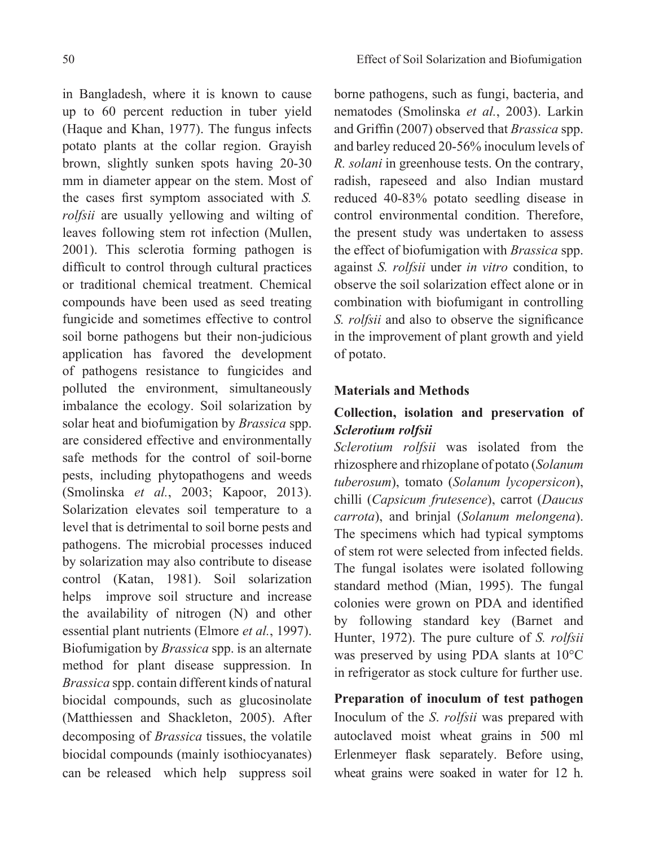in Bangladesh, where it is known to cause up to 60 percent reduction in tuber yield (Haque and Khan, 1977). The fungus infects potato plants at the collar region. Grayish brown, slightly sunken spots having 20-30 mm in diameter appear on the stem. Most of the cases first symptom associated with *S. rolfsii* are usually yellowing and wilting of leaves following stem rot infection (Mullen, 2001). This sclerotia forming pathogen is difficult to control through cultural practices or traditional chemical treatment. Chemical compounds have been used as seed treating fungicide and sometimes effective to control soil borne pathogens but their non-judicious application has favored the development of pathogens resistance to fungicides and polluted the environment, simultaneously imbalance the ecology. Soil solarization by solar heat and biofumigation by *Brassica* spp. are considered effective and environmentally safe methods for the control of soil-borne pests, including phytopathogens and weeds (Smolinska *et al.*, 2003; Kapoor, 2013). Solarization elevates soil temperature to a level that is detrimental to soil borne pests and pathogens. The microbial processes induced by solarization may also contribute to disease control (Katan, 1981). Soil solarization helps improve soil structure and increase the availability of nitrogen (N) and other essential plant nutrients (Elmore *et al.*, 1997). Biofumigation by *Brassica* spp. is an alternate method for plant disease suppression. In *Brassica* spp. contain different kinds of natural biocidal compounds, such as glucosinolate (Matthiessen and Shackleton, 2005). After decomposing of *Brassica* tissues, the volatile biocidal compounds (mainly isothiocyanates) can be released which help suppress soil

borne pathogens, such as fungi, bacteria, and nematodes (Smolinska *et al.*, 2003). Larkin and Griffin (2007) observed that *Brassica* spp. and barley reduced 20-56% inoculum levels of *R. solani* in greenhouse tests. On the contrary, radish, rapeseed and also Indian mustard reduced 40-83% potato seedling disease in control environmental condition. Therefore, the present study was undertaken to assess the effect of biofumigation with *Brassica* spp. against *S. rolfsii* under *in vitro* condition, to observe the soil solarization effect alone or in combination with biofumigant in controlling *S. rolfsii* and also to observe the significance in the improvement of plant growth and yield of potato.

## **Materials and Methods**

# **Collection, isolation and preservation of**  *Sclerotium rolfsii*

*Sclerotium rolfsii* was isolated from the rhizosphere and rhizoplane of potato (*Solanum tuberosum*), tomato (*Solanum lycopersicon*), chilli (*Capsicum frutesence*), carrot (*Daucus carrota*), and brinjal (*Solanum melongena*). The specimens which had typical symptoms of stem rot were selected from infected fields. The fungal isolates were isolated following standard method (Mian, 1995). The fungal colonies were grown on PDA and identified by following standard key (Barnet and Hunter, 1972). The pure culture of *S. rolfsii*  was preserved by using PDA slants at 10°C in refrigerator as stock culture for further use.

**Preparation of inoculum of test pathogen**  Inoculum of the *S*. *rolfsii* was prepared with autoclaved moist wheat grains in 500 ml Erlenmeyer flask separately. Before using, wheat grains were soaked in water for 12 h.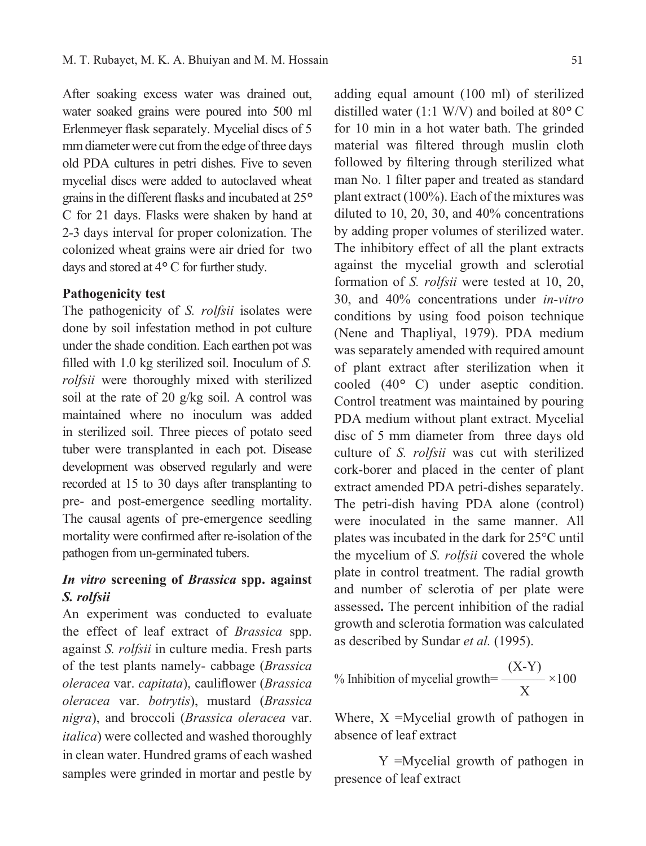After soaking excess water was drained out, water soaked grains were poured into 500 ml Erlenmeyer flask separately. Mycelial discs of 5 mm diameter were cut from the edge of three days old PDA cultures in petri dishes. Five to seven mycelial discs were added to autoclaved wheat grains in the different flasks and incubated at 25*°* C for 21 days. Flasks were shaken by hand at 2-3 days interval for proper colonization. The colonized wheat grains were air dried for two days and stored at 4*°* C for further study.

#### **Pathogenicity test**

The pathogenicity of *S. rolfsii* isolates were done by soil infestation method in pot culture under the shade condition. Each earthen pot was filled with 1.0 kg sterilized soil. Inoculum of *S. rolfsii* were thoroughly mixed with sterilized soil at the rate of 20 g/kg soil. A control was maintained where no inoculum was added in sterilized soil. Three pieces of potato seed tuber were transplanted in each pot. Disease development was observed regularly and were recorded at 15 to 30 days after transplanting to pre- and post-emergence seedling mortality. The causal agents of pre-emergence seedling mortality were confirmed after re-isolation of the pathogen from un-germinated tubers.

# *In vitro* **screening of** *Brassica* **spp. against**  *S. rolfsii*

An experiment was conducted to evaluate the effect of leaf extract of *Brassica* spp. against *S. rolfsii* in culture media. Fresh parts of the test plants namely- cabbage (*Brassica oleracea* var. *capitata*), cauliflower (*Brassica oleracea* var. *botrytis*), mustard (*Brassica nigra*), and broccoli (*Brassica oleracea* var. *italica*) were collected and washed thoroughly in clean water. Hundred grams of each washed samples were grinded in mortar and pestle by

adding equal amount (100 ml) of sterilized distilled water (1:1 W/V) and boiled at 80*°* C for 10 min in a hot water bath. The grinded material was filtered through muslin cloth followed by filtering through sterilized what man No. 1 filter paper and treated as standard plant extract (100%). Each of the mixtures was diluted to 10, 20, 30, and 40% concentrations by adding proper volumes of sterilized water. The inhibitory effect of all the plant extracts against the mycelial growth and sclerotial formation of *S. rolfsii* were tested at 10, 20, 30, and 40% concentrations under *in-vitro* conditions by using food poison technique (Nene and Thapliyal, 1979). PDA medium was separately amended with required amount of plant extract after sterilization when it cooled (40*°* C) under aseptic condition. Control treatment was maintained by pouring PDA medium without plant extract. Mycelial disc of 5 mm diameter from three days old culture of *S. rolfsii* was cut with sterilized cork-borer and placed in the center of plant extract amended PDA petri-dishes separately. The petri-dish having PDA alone (control) were inoculated in the same manner. All plates was incubated in the dark for 25°C until the mycelium of *S. rolfsii* covered the whole plate in control treatment. The radial growth and number of sclerotia of per plate were assessed**.** The percent inhibition of the radial growth and sclerotia formation was calculated as described by Sundar *et al.* (1995).

% Inhibition of mycelial growth=
$$
\frac{(X-Y)}{X} \times 100
$$

Where,  $X = Mycelial$  growth of pathogen in absence of leaf extract

Y =Mycelial growth of pathogen in presence of leaf extract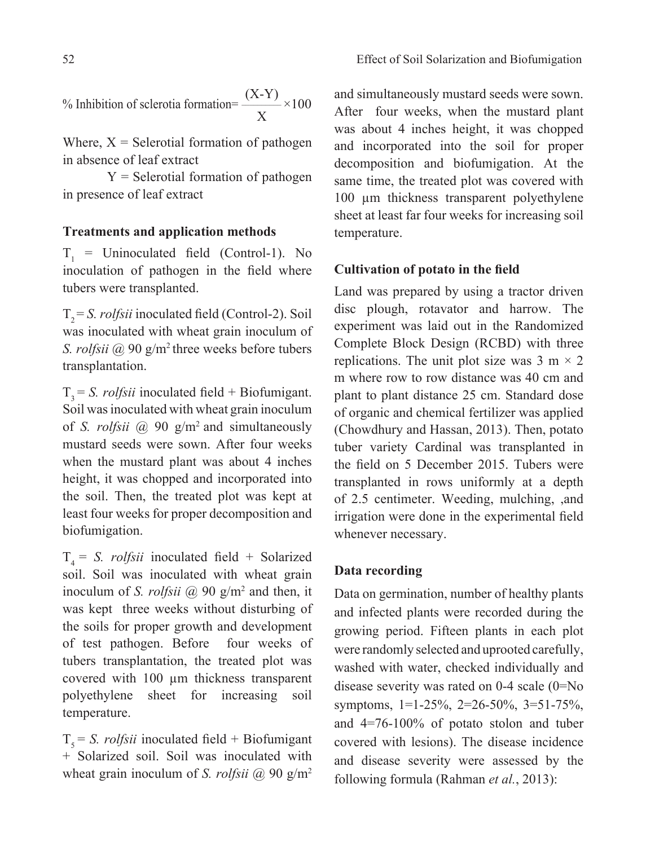% Inhibition of sclerotia formation= $\frac{(X-Y)}{2} \times 100$ X

Where,  $X =$  Selerotial formation of pathogen in absence of leaf extract

 $Y =$  Selerotial formation of pathogen in presence of leaf extract

## **Treatments and application methods**

 $T_1$  = Uninoculated field (Control-1). No inoculation of pathogen in the field where tubers were transplanted.

T<sub>2</sub> = *S. rolfsii* inoculated field (Control-2). Soil was inoculated with wheat grain inoculum of *S. rolfsii* @ 90 g/m2 three weeks before tubers transplantation.

 $T<sub>3</sub> = S.$  *rolfsii* inoculated field + Biofumigant. Soil was inoculated with wheat grain inoculum of *S. rolfsii* @ 90 g/m2 and simultaneously mustard seeds were sown. After four weeks when the mustard plant was about 4 inches height, it was chopped and incorporated into the soil. Then, the treated plot was kept at least four weeks for proper decomposition and biofumigation.

 $T<sub>4</sub> = S.$  *rolfsii* inoculated field + Solarized soil. Soil was inoculated with wheat grain inoculum of *S. rolfsii* @ 90 g/m<sup>2</sup> and then, it was kept three weeks without disturbing of the soils for proper growth and development of test pathogen. Before four weeks of tubers transplantation, the treated plot was covered with 100 µm thickness transparent polyethylene sheet for increasing soil temperature.

 $T<sub>5</sub> = S.$  *rolfsii* inoculated field + Biofumigant + Solarized soil. Soil was inoculated with wheat grain inoculum of *S. rolfsii* @ 90 g/m<sup>2</sup> and simultaneously mustard seeds were sown. After four weeks, when the mustard plant was about 4 inches height, it was chopped and incorporated into the soil for proper decomposition and biofumigation. At the same time, the treated plot was covered with 100 µm thickness transparent polyethylene sheet at least far four weeks for increasing soil temperature.

#### **Cultivation of potato in the field**

Land was prepared by using a tractor driven disc plough, rotavator and harrow. The experiment was laid out in the Randomized Complete Block Design (RCBD) with three replications. The unit plot size was  $3 \text{ m} \times 2$ m where row to row distance was 40 cm and plant to plant distance 25 cm. Standard dose of organic and chemical fertilizer was applied (Chowdhury and Hassan, 2013). Then, potato tuber variety Cardinal was transplanted in the field on 5 December 2015. Tubers were transplanted in rows uniformly at a depth of 2.5 centimeter. Weeding, mulching, ,and irrigation were done in the experimental field whenever necessary.

#### **Data recording**

Data on germination, number of healthy plants and infected plants were recorded during the growing period. Fifteen plants in each plot were randomly selected and uprooted carefully, washed with water, checked individually and disease severity was rated on 0-4 scale (0=No symptoms, 1=1-25%, 2=26-50%, 3=51-75%, and 4=76-100% of potato stolon and tuber covered with lesions). The disease incidence and disease severity were assessed by the following formula (Rahman *et al.*, 2013):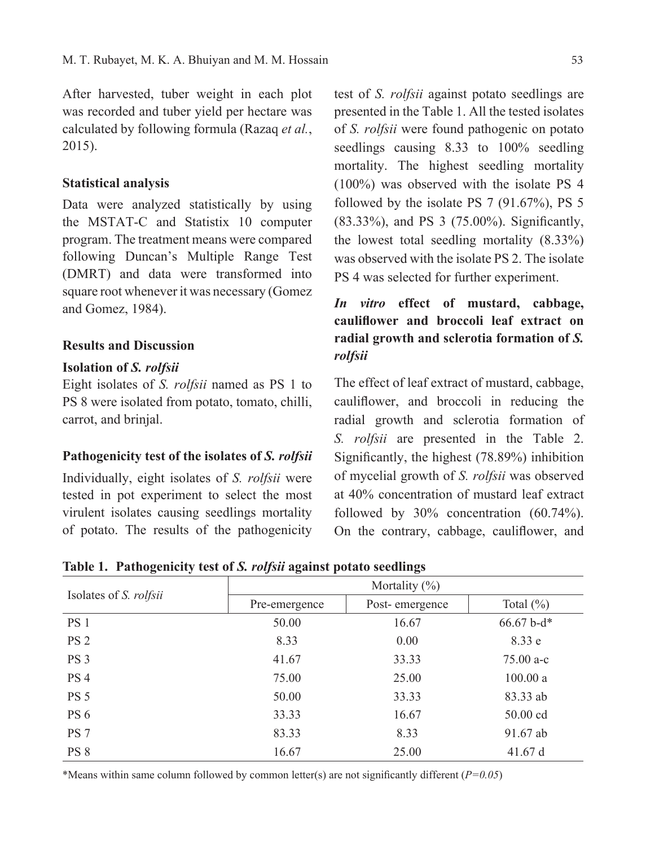After harvested, tuber weight in each plot was recorded and tuber yield per hectare was calculated by following formula (Razaq *et al.*, 2015).

#### **Statistical analysis**

Data were analyzed statistically by using the MSTAT-C and Statistix 10 computer program. The treatment means were compared following Duncan's Multiple Range Test (DMRT) and data were transformed into square root whenever it was necessary (Gomez and Gomez, 1984).

## **Results and Discussion**

## **Isolation of** *S. rolfsii*

Eight isolates of *S. rolfsii* named as PS 1 to PS 8 were isolated from potato, tomato, chilli, carrot, and brinjal.

#### **Pathogenicity test of the isolates of** *S. rolfsii*

Individually, eight isolates of *S. rolfsii* were tested in pot experiment to select the most virulent isolates causing seedlings mortality of potato. The results of the pathogenicity

test of *S. rolfsii* against potato seedlings are presented in the Table 1. All the tested isolates of *S. rolfsii* were found pathogenic on potato seedlings causing 8.33 to 100% seedling mortality. The highest seedling mortality (100%) was observed with the isolate PS 4 followed by the isolate PS 7 (91.67%), PS 5 (83.33%), and PS 3 (75.00%). Significantly, the lowest total seedling mortality (8.33%) was observed with the isolate PS 2. The isolate PS 4 was selected for further experiment.

# *In vitro* **effect of mustard, cabbage, cauliflower and broccoli leaf extract on radial growth and sclerotia formation of** *S. rolfsii*

The effect of leaf extract of mustard, cabbage, cauliflower, and broccoli in reducing the radial growth and sclerotia formation of *S. rolfsii* are presented in the Table 2. Significantly, the highest (78.89%) inhibition of mycelial growth of *S. rolfsii* was observed at 40% concentration of mustard leaf extract followed by 30% concentration (60.74%). On the contrary, cabbage, cauliflower, and

|                               | Mortality $(\%)$ |                |               |  |
|-------------------------------|------------------|----------------|---------------|--|
| Isolates of <i>S. rolfsii</i> | Pre-emergence    | Post-emergence | Total $(\% )$ |  |
| PS 1                          | 50.00            | 16.67          | $66.67$ b-d*  |  |
| PS <sub>2</sub>               | 8.33             | 0.00           | 8.33 e        |  |
| PS <sub>3</sub>               | 41.67            | 33.33          | $75.00 a-c$   |  |
| PS <sub>4</sub>               | 75.00            | 25.00          | 100.00 a      |  |
| <b>PS 5</b>                   | 50.00            | 33.33          | 83.33 ab      |  |
| PS 6                          | 33.33            | 16.67          | 50.00 cd      |  |
| PS <sub>7</sub>               | 83.33            | 8.33           | 91.67 ab      |  |
| PS 8                          | 16.67            | 25.00          | 41.67 d       |  |

**Table 1. Pathogenicity test of** *S. rolfsii* **against potato seedlings**

\*Means within same column followed by common letter(s) are not significantly different (*P=0.05*)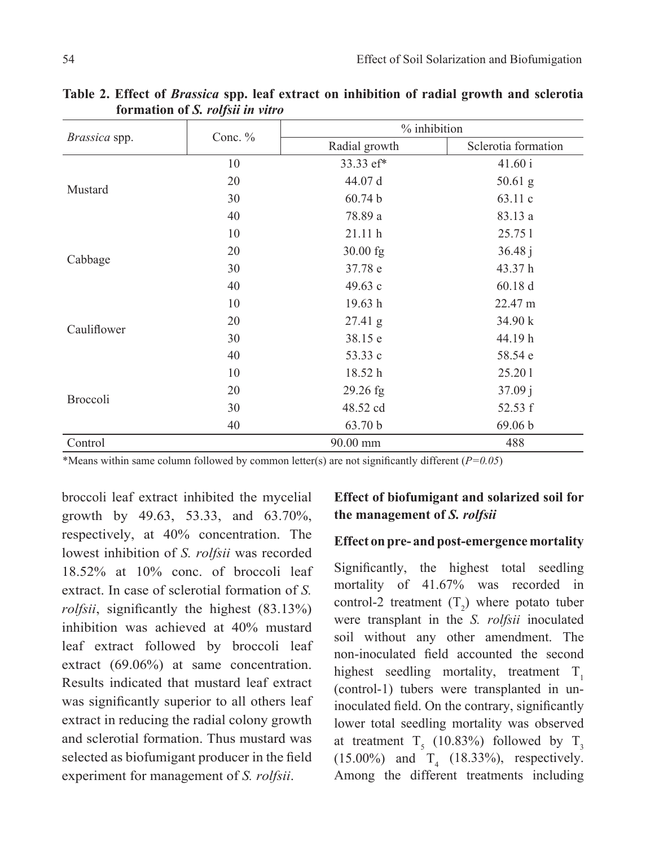|               | Conc. % | % inhibition     |                     |  |
|---------------|---------|------------------|---------------------|--|
| Brassica spp. |         | Radial growth    | Sclerotia formation |  |
| Mustard       | 10      | 33.33 ef*        | 41.60 i             |  |
|               | 20      | 44.07 d          | $50.61$ g           |  |
|               | 30      | 60.74 b          | 63.11 c             |  |
|               | 40      | 78.89 a          | 83.13 a             |  |
| Cabbage       | 10      | 21.11h           | 25.751              |  |
|               | 20      | 30.00 fg         | 36.48j              |  |
|               | 30      | 37.78 e          | 43.37h              |  |
|               | 40      | 49.63 c          | 60.18 d             |  |
| Cauliflower   | 10      | 19.63 h          | 22.47 m             |  |
|               | 20      | $27.41\text{ g}$ | 34.90 k             |  |
|               | 30      | 38.15 e          | 44.19h              |  |
|               | 40      | 53.33 c          | 58.54 e             |  |
| Broccoli      | 10      | 18.52 h          | 25.201              |  |
|               | 20      | 29.26 fg         | 37.09j              |  |
|               | 30      | 48.52 cd         | 52.53 f             |  |
|               | 40      | 63.70 b          | 69.06 b             |  |
| Control       |         | 90.00 mm         | 488                 |  |

**Table 2. Effect of** *Brassica* **spp. leaf extract on inhibition of radial growth and sclerotia formation of** *S. rolfsii in vitro*

\*Means within same column followed by common letter(s) are not significantly different (*P=0.05*)

broccoli leaf extract inhibited the mycelial growth by 49.63, 53.33, and 63.70%, respectively, at 40% concentration. The lowest inhibition of *S. rolfsii* was recorded 18.52% at 10% conc. of broccoli leaf extract. In case of sclerotial formation of *S. rolfsii*, significantly the highest (83.13%) inhibition was achieved at 40% mustard leaf extract followed by broccoli leaf extract (69.06%) at same concentration. Results indicated that mustard leaf extract was significantly superior to all others leaf extract in reducing the radial colony growth and sclerotial formation. Thus mustard was selected as biofumigant producer in the field experiment for management of *S. rolfsii*.

## **Effect of biofumigant and solarized soil for the management of** *S. rolfsii*

#### **Effect on pre- and post-emergence mortality**

Significantly, the highest total seedling mortality of 41.67% was recorded in control-2 treatment  $(T_2)$  where potato tuber were transplant in the *S. rolfsii* inoculated soil without any other amendment. The non-inoculated field accounted the second highest seedling mortality, treatment  $T_1$ (control-1) tubers were transplanted in uninoculated field. On the contrary, significantly lower total seedling mortality was observed at treatment  $T_5$  (10.83%) followed by  $T_3$  $(15.00\%)$  and  $T_4$   $(18.33\%)$ , respectively. Among the different treatments including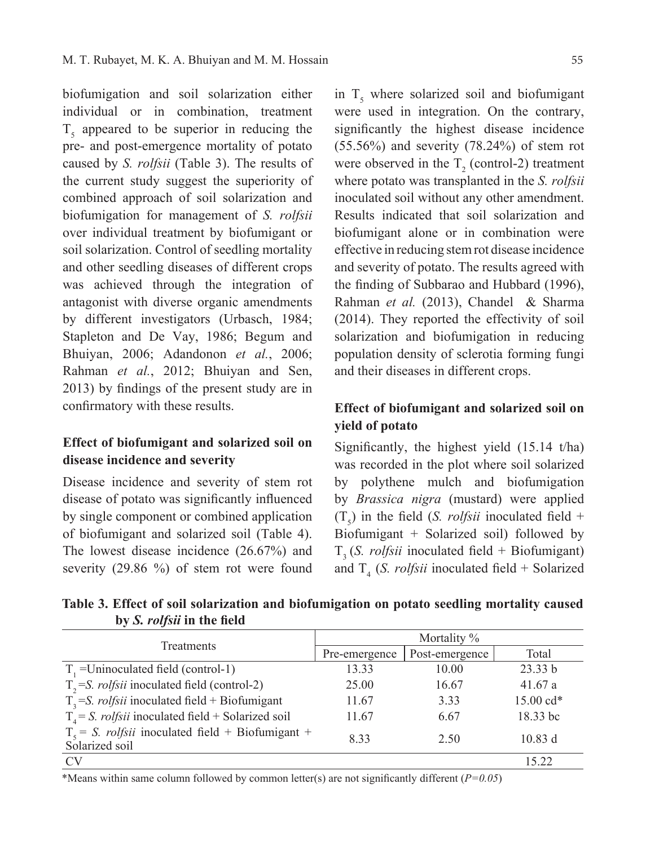biofumigation and soil solarization either individual or in combination, treatment  $T<sub>s</sub>$  appeared to be superior in reducing the pre- and post-emergence mortality of potato caused by *S. rolfsii* (Table 3). The results of the current study suggest the superiority of combined approach of soil solarization and biofumigation for management of *S. rolfsii*  over individual treatment by biofumigant or soil solarization. Control of seedling mortality and other seedling diseases of different crops was achieved through the integration of antagonist with diverse organic amendments by different investigators (Urbasch, 1984; Stapleton and De Vay, 1986; Begum and Bhuiyan, 2006; Adandonon *et al.*, 2006; Rahman *et al.*, 2012; Bhuiyan and Sen, 2013) by findings of the present study are in confirmatory with these results.

## **Effect of biofumigant and solarized soil on disease incidence and severity**

Disease incidence and severity of stem rot disease of potato was significantly influenced by single component or combined application of biofumigant and solarized soil (Table 4). The lowest disease incidence (26.67%) and severity (29.86 %) of stem rot were found

in  $T<sub>5</sub>$  where solarized soil and biofumigant were used in integration. On the contrary, significantly the highest disease incidence  $(55.56\%)$  and severity  $(78.24\%)$  of stem rot were observed in the  $T_2$  (control-2) treatment where potato was transplanted in the *S. rolfsii*  inoculated soil without any other amendment. Results indicated that soil solarization and biofumigant alone or in combination were effective in reducing stem rot disease incidence and severity of potato. The results agreed with the finding of Subbarao and Hubbard (1996), Rahman *et al.* (2013), Chandel & Sharma (2014). They reported the effectivity of soil solarization and biofumigation in reducing population density of sclerotia forming fungi and their diseases in different crops.

## **Effect of biofumigant and solarized soil on yield of potato**

Significantly, the highest yield (15.14 t/ha) was recorded in the plot where soil solarized by polythene mulch and biofumigation by *Brassica nigra* (mustard) were applied  $(T_5)$  in the field (*S. rolfsii* inoculated field + Biofumigant + Solarized soil) followed by T3 (*S. rolfsii* inoculated field + Biofumigant) and  $T<sub>4</sub>$  (*S. rolfsii* inoculated field + Solarized

**Table 3. Effect of soil solarization and biofumigation on potato seedling mortality caused by** *S. rolfsii* **in the field**

|                                                                               | Mortality %   |                |           |
|-------------------------------------------------------------------------------|---------------|----------------|-----------|
| Treatments                                                                    | Pre-emergence | Post-emergence | Total     |
| $T1$ =Uninoculated field (control-1)                                          | 13.33         | 10.00          | 23.33 b   |
| $T_{2} = S$ . <i>rolfsii</i> inoculated field (control-2)                     | 25.00         | 16.67          | 41.67a    |
| $T_3$ =S. <i>rolfsii</i> inoculated field + Biofumigant                       | 11.67         | 3.33           | 15.00 cd* |
| $T_a = S$ . <i>rolfsii</i> inoculated field + Solarized soil                  | 11.67         | 6.67           | 18.33 bc  |
| $T_s = S$ . <i>rolfsii</i> inoculated field + Biofumigant +<br>Solarized soil | 833           | 2.50           | 10.83 d   |
| <b>CV</b>                                                                     |               |                | 15.22     |

\*Means within same column followed by common letter(s) are not significantly different (*P=0.05*)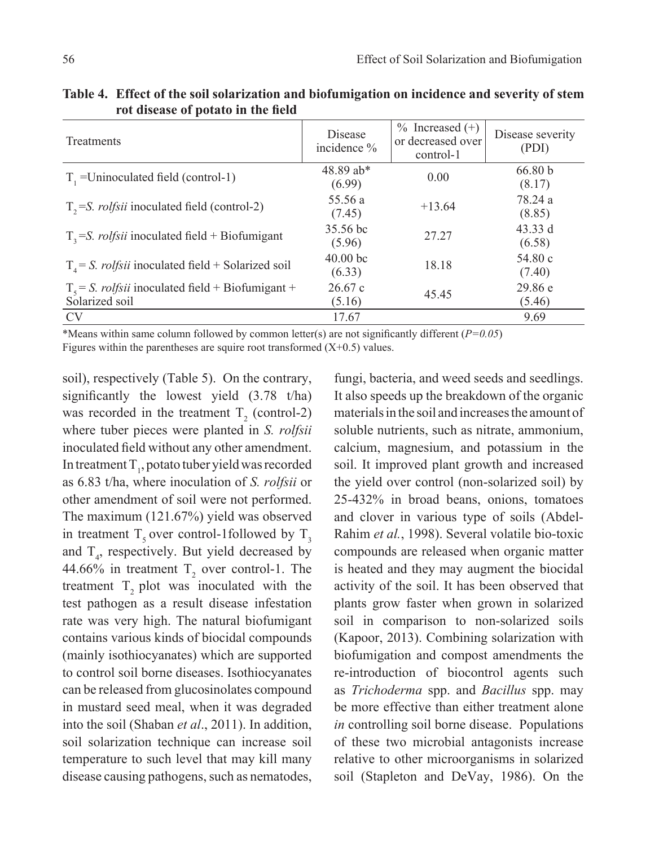| Treatments                                                                    | Disease<br>incidence %        | $%$ Increased $(+)$<br>or decreased over<br>control-1 | Disease severity<br>(PDI) |
|-------------------------------------------------------------------------------|-------------------------------|-------------------------------------------------------|---------------------------|
| $T1$ =Uninoculated field (control-1)                                          | 48.89 ab*<br>(6.99)           | 0.00                                                  | 66.80 b<br>(8.17)         |
| $T_{2}$ =S. <i>rolfsii</i> inoculated field (control-2)                       | 55.56 a<br>(7.45)             | $+13.64$                                              | 78.24 a<br>(8.85)         |
| $T_3$ =S. <i>rolfsii</i> inoculated field + Biofumigant                       | 35.56 bc<br>(5.96)            | 27.27                                                 | 43.33 d<br>(6.58)         |
| $T4 = S.$ <i>rolfsii</i> inoculated field + Solarized soil                    | 40.00 <sub>bc</sub><br>(6.33) | 18.18                                                 | 54.80c<br>(7.40)          |
| $T_s = S$ . <i>rolfsii</i> inoculated field + Biofumigant +<br>Solarized soil | 26.67c<br>(5.16)              | 45.45                                                 | 29.86 e<br>(5.46)         |
| <b>CV</b>                                                                     | 17.67                         |                                                       | 9.69                      |

**Table 4. Effect of the soil solarization and biofumigation on incidence and severity of stem rot disease of potato in the field**

\*Means within same column followed by common letter(s) are not significantly different (*P=0.05*) Figures within the parentheses are squire root transformed  $(X+0.5)$  values.

soil), respectively (Table 5). On the contrary, significantly the lowest yield (3.78 t/ha) was recorded in the treatment  $T_2$  (control-2) where tuber pieces were planted in *S. rolfsii*  inoculated field without any other amendment. In treatment  $T_1$ , potato tuber yield was recorded as 6.83 t/ha, where inoculation of *S. rolfsii* or other amendment of soil were not performed. The maximum (121.67%) yield was observed in treatment  $T_5$  over control-1followed by  $T_3$ and  $T<sub>4</sub>$ , respectively. But yield decreased by 44.66% in treatment  $T_2$  over control-1. The treatment  $T$ , plot was inoculated with the test pathogen as a result disease infestation rate was very high. The natural biofumigant contains various kinds of biocidal compounds (mainly isothiocyanates) which are supported to control soil borne diseases. Isothiocyanates can be released from glucosinolates compound in mustard seed meal, when it was degraded into the soil (Shaban *et al*., 2011). In addition, soil solarization technique can increase soil temperature to such level that may kill many disease causing pathogens, such as nematodes,

fungi, bacteria, and weed seeds and seedlings. It also speeds up the breakdown of the organic materials in the soil and increases the amount of soluble nutrients, such as nitrate, ammonium, calcium, magnesium, and potassium in the soil. It improved plant growth and increased the yield over control (non-solarized soil) by 25-432% in broad beans, onions, tomatoes and clover in various type of soils (Abdel-Rahim *et al.*, 1998). Several volatile bio-toxic compounds are released when organic matter is heated and they may augment the biocidal activity of the soil. It has been observed that plants grow faster when grown in solarized soil in comparison to non-solarized soils (Kapoor, 2013). Combining solarization with biofumigation and compost amendments the re-introduction of biocontrol agents such as *Trichoderma* spp. and *Bacillus* spp. may be more effective than either treatment alone *in* controlling soil borne disease. Populations of these two microbial antagonists increase relative to other microorganisms in solarized soil (Stapleton and DeVay, 1986). On the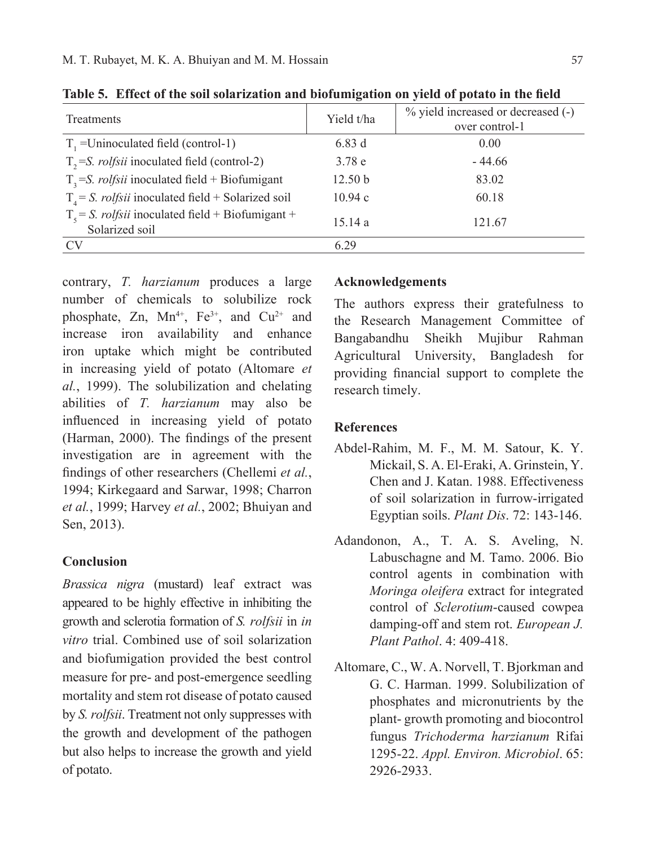|                                                                               | $\bullet$          |                                                      |
|-------------------------------------------------------------------------------|--------------------|------------------------------------------------------|
| Treatments                                                                    | Yield t/ha         | % yield increased or decreased (-)<br>over control-1 |
| $T1$ =Uninoculated field (control-1)                                          | 6.83d              | 0.00                                                 |
| $T_{2}$ =S. <i>rolfsii</i> inoculated field (control-2)                       | 3.78e              | $-44.66$                                             |
| $T_3$ =S. <i>rolfsii</i> inoculated field + Biofumigant                       | 12.50 <sub>b</sub> | 83.02                                                |
| $T4 = S.$ <i>rolfsii</i> inoculated field + Solarized soil                    | 10.94c             | 60.18                                                |
| $T_s = S$ . <i>rolfsii</i> inoculated field + Biofumigant +<br>Solarized soil | 15.14a             | 121.67                                               |
| <b>CV</b>                                                                     | 6.29               |                                                      |

**Table 5. Effect of the soil solarization and biofumigation on yield of potato in the field**

contrary, *T. harzianum* produces a large number of chemicals to solubilize rock phosphate, Zn,  $Mn^{4+}$ , Fe<sup>3+</sup>, and Cu<sup>2+</sup> and increase iron availability and enhance iron uptake which might be contributed in increasing yield of potato (Altomare *et al.*, 1999). The solubilization and chelating abilities of *T. harzianum* may also be influenced in increasing yield of potato (Harman, 2000). The findings of the present investigation are in agreement with the findings of other researchers (Chellemi *et al.*, 1994; Kirkegaard and Sarwar, 1998; Charron *et al.*, 1999; Harvey *et al.*, 2002; Bhuiyan and Sen, 2013).

#### **Conclusion**

*Brassica nigra* (mustard) leaf extract was appeared to be highly effective in inhibiting the growth and sclerotia formation of *S. rolfsii* in *in vitro* trial. Combined use of soil solarization and biofumigation provided the best control measure for pre- and post-emergence seedling mortality and stem rot disease of potato caused by *S. rolfsii*. Treatment not only suppresses with the growth and development of the pathogen but also helps to increase the growth and yield of potato.

#### **Acknowledgements**

The authors express their gratefulness to the Research Management Committee of Bangabandhu Sheikh Mujibur Rahman Agricultural University, Bangladesh for providing financial support to complete the research timely.

## **References**

- Abdel-Rahim, M. F., M. M. Satour, K. Y. Mickail, S. A. El-Eraki, A. Grinstein, Y. Chen and J. Katan. 1988. Effectiveness of soil solarization in furrow-irrigated Egyptian soils. *Plant Dis*. 72: 143-146.
- Adandonon, A., T. A. S. Aveling, N. Labuschagne and M. Tamo. 2006. Bio control agents in combination with *Moringa oleifera* extract for integrated control of *Sclerotium*-caused cowpea damping-off and stem rot. *European J. Plant Pathol*. 4: 409-418.
- Altomare, C., W. A. Norvell, T. Bjorkman and G. C. Harman. 1999. Solubilization of phosphates and micronutrients by the plant- growth promoting and biocontrol fungus *Trichoderma harzianum* Rifai 1295-22. *Appl. Environ. Microbiol*. 65: 2926-2933.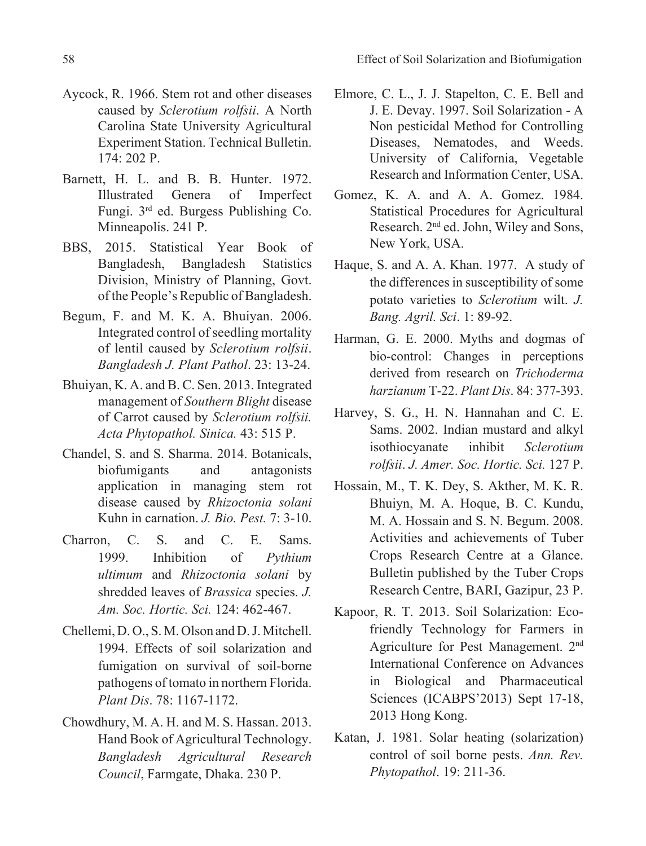- Aycock, R. 1966. Stem rot and other diseases caused by *Sclerotium rolfsii*. A North Carolina State University Agricultural Experiment Station. Technical Bulletin. 174: 202 P.
- Barnett, H. L. and B. B. Hunter. 1972. Illustrated Genera of Imperfect Fungi. 3rd ed. Burgess Publishing Co. Minneapolis. 241 P.
- BBS, 2015. Statistical Year Book of Bangladesh, Bangladesh Statistics Division, Ministry of Planning, Govt. of the People's Republic of Bangladesh.
- Begum, F. and M. K. A. Bhuiyan. 2006. Integrated control of seedling mortality of lentil caused by *Sclerotium rolfsii*. *Bangladesh J. Plant Pathol*. 23: 13-24.
- Bhuiyan, K. A. and B. C. Sen. 2013. Integrated management of *Southern Blight* disease of Carrot caused by *Sclerotium rolfsii. Acta Phytopathol. Sinica.* 43: 515 P.
- Chandel, S. and S. Sharma. 2014. Botanicals, biofumigants and antagonists application in managing stem rot disease caused by *Rhizoctonia solani* Kuhn in carnation. *J. Bio. Pest.* 7: 3-10.
- Charron, C. S. and C. E. Sams. 1999. Inhibition of *Pythium ultimum* and *Rhizoctonia solani* by shredded leaves of *Brassica* species. *J. Am. Soc. Hortic. Sci.* 124: 462-467.
- Chellemi, D. O., S. M. Olson and D. J. Mitchell. 1994. Effects of soil solarization and fumigation on survival of soil-borne pathogens of tomato in northern Florida. *Plant Dis*. 78: 1167-1172.
- Chowdhury, M. A. H. and M. S. Hassan. 2013. Hand Book of Agricultural Technology. *Bangladesh Agricultural Research Council*, Farmgate, Dhaka. 230 P.
- Elmore, C. L., J. J. Stapelton, C. E. Bell and J. E. Devay. 1997. Soil Solarization - A Non pesticidal Method for Controlling Diseases, Nematodes, and Weeds. University of California, Vegetable Research and Information Center, USA.
- Gomez, K. A. and A. A. Gomez. 1984. Statistical Procedures for Agricultural Research. 2nd ed. John, Wiley and Sons, New York, USA.
- Haque, S. and A. A. Khan. 1977. A study of the differences in susceptibility of some potato varieties to *Sclerotium* wilt. *J. Bang. Agril. Sci*. 1: 89-92.
- Harman, G. E. 2000. Myths and dogmas of bio-control: Changes in perceptions derived from research on *Trichoderma harzianum* T-22. *Plant Dis*. 84: 377-393.
- Harvey, S. G., H. N. Hannahan and C. E. Sams. 2002. Indian mustard and alkyl isothiocyanate inhibit *Sclerotium rolfsii*. *J. Amer. Soc. Hortic. Sci.* 127 P.
- Hossain, M., T. K. Dey, S. Akther, M. K. R. Bhuiyn, M. A. Hoque, B. C. Kundu, M. A. Hossain and S. N. Begum. 2008. Activities and achievements of Tuber Crops Research Centre at a Glance. Bulletin published by the Tuber Crops Research Centre, BARI, Gazipur, 23 P.
- Kapoor, R. T. 2013. Soil Solarization: Ecofriendly Technology for Farmers in Agriculture for Pest Management. 2nd International Conference on Advances in Biological and Pharmaceutical Sciences (ICABPS'2013) Sept 17-18, 2013 Hong Kong.
- Katan, J. 1981. Solar heating (solarization) control of soil borne pests. *Ann. Rev. Phytopathol*. 19: 211-36.